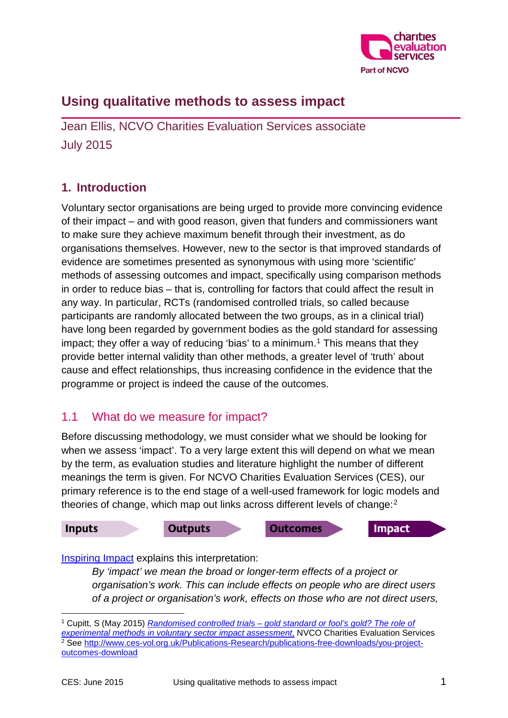

# **Using qualitative methods to assess impact**

Jean Ellis, NCVO Charities Evaluation Services associate July 2015

## **1. Introduction**

Voluntary sector organisations are being urged to provide more convincing evidence of their impact – and with good reason, given that funders and commissioners want to make sure they achieve maximum benefit through their investment, as do organisations themselves. However, new to the sector is that improved standards of evidence are sometimes presented as synonymous with using more 'scientific' methods of assessing outcomes and impact, specifically using comparison methods in order to reduce bias – that is, controlling for factors that could affect the result in any way. In particular, RCTs (randomised controlled trials, so called because participants are randomly allocated between the two groups, as in a clinical trial) have long been regarded by government bodies as the gold standard for assessing impact; they offer a way of reducing 'bias' to a minimum. [1](#page-0-0) This means that they provide better internal validity than other methods, a greater level of 'truth' about cause and effect relationships, thus increasing confidence in the evidence that the programme or project is indeed the cause of the outcomes.

#### 1.1 What do we measure for impact?

Before discussing methodology, we must consider what we should be looking for when we assess 'impact'. To a very large extent this will depend on what we mean by the term, as evaluation studies and literature highlight the number of different meanings the term is given. For NCVO Charities Evaluation Services (CES), our primary reference is to the end stage of a well-used framework for logic models and theories of change, which map out links across different levels of change:<sup>[2](#page-0-1)</sup>



[Inspiring Impact](http://inspiringimpact.org/) explains this interpretation:

*By 'impact' we mean the broad or longer-term effects of a project or organisation's work. This can include effects on people who are direct users of a project or organisation's work, effects on those who are not direct users,* 

<span id="page-0-1"></span><span id="page-0-0"></span><sup>1</sup> Cupitt, S (May 2015) *[Randomised controlled trials – gold standard or fool's gold? The role of](http://www.ces-vol.org.uk/thinkpieces/thinkpiece-archive/Randomised+controlled+trials)  [experimental methods in voluntary sector impact assessment](http://www.ces-vol.org.uk/thinkpieces/thinkpiece-archive/Randomised+controlled+trials)*, NVCO Charities Evaluation Services <sup>2</sup> See [http://www.ces-vol.org.uk/Publications-Research/publications-free-downloads/you-project](http://www.ces-vol.org.uk/Publications-Research/publications-free-downloads/you-project-outcomes-download)[outcomes-download](http://www.ces-vol.org.uk/Publications-Research/publications-free-downloads/you-project-outcomes-download)  -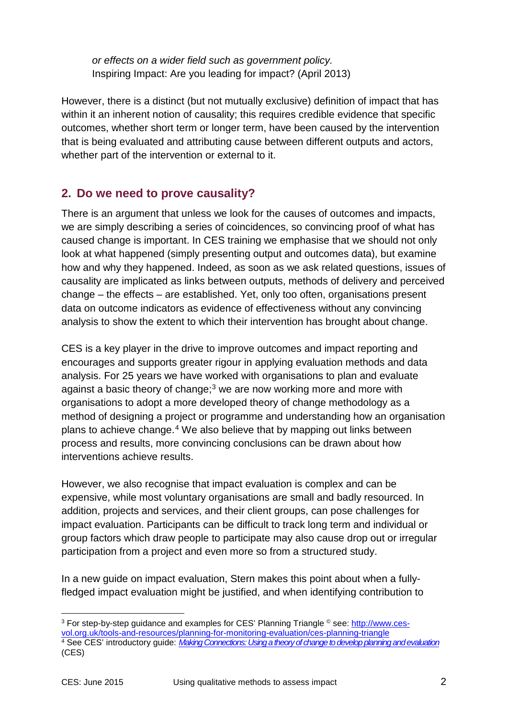*or effects on a wider field such as government policy.*  Inspiring Impact: Are you leading for impact? (April 2013)

However, there is a distinct (but not mutually exclusive) definition of impact that has within it an inherent notion of causality; this requires credible evidence that specific outcomes, whether short term or longer term, have been caused by the intervention that is being evaluated and attributing cause between different outputs and actors, whether part of the intervention or external to it.

#### **2. Do we need to prove causality?**

There is an argument that unless we look for the causes of outcomes and impacts, we are simply describing a series of coincidences, so convincing proof of what has caused change is important. In CES training we emphasise that we should not only look at what happened (simply presenting output and outcomes data), but examine how and why they happened. Indeed, as soon as we ask related questions, issues of causality are implicated as links between outputs, methods of delivery and perceived change – the effects – are established. Yet, only too often, organisations present data on outcome indicators as evidence of effectiveness without any convincing analysis to show the extent to which their intervention has brought about change.

CES is a key player in the drive to improve outcomes and impact reporting and encourages and supports greater rigour in applying evaluation methods and data analysis. For 25 years we have worked with organisations to plan and evaluate against a basic theory of change: $3$  we are now working more and more with organisations to adopt a more developed theory of change methodology as a method of designing a project or programme and understanding how an organisation plans to achieve change. [4](#page-1-1) We also believe that by mapping out links between process and results, more convincing conclusions can be drawn about how interventions achieve results.

However, we also recognise that impact evaluation is complex and can be expensive, while most voluntary organisations are small and badly resourced. In addition, projects and services, and their client groups, can pose challenges for impact evaluation. Participants can be difficult to track long term and individual or group factors which draw people to participate may also cause drop out or irregular participation from a project and even more so from a structured study.

In a new guide on impact evaluation, Stern makes this point about when a fullyfledged impact evaluation might be justified, and when identifying contribution to

<span id="page-1-1"></span><span id="page-1-0"></span><sup>3</sup> For step-by-step guidance and examples for CES' Planning Triangle © see: [http://www.ces](http://www.ces-vol.org.uk/tools-and-resources/planning-for-monitoring-evaluation/ces-planning-triangle)[vol.org.uk/tools-and-resources/planning-for-monitoring-evaluation/ces-planning-triangle](http://www.ces-vol.org.uk/tools-and-resources/planning-for-monitoring-evaluation/ces-planning-triangle) <sup>4</sup> See CES' introductory guide: *[MakingConnections:Usingatheoryofchangetodevelopplanningandevaluation](http://www.ces-vol.org.uk/tools-and-resources/Evaluation-methods/making-connections-tools)* (CES) -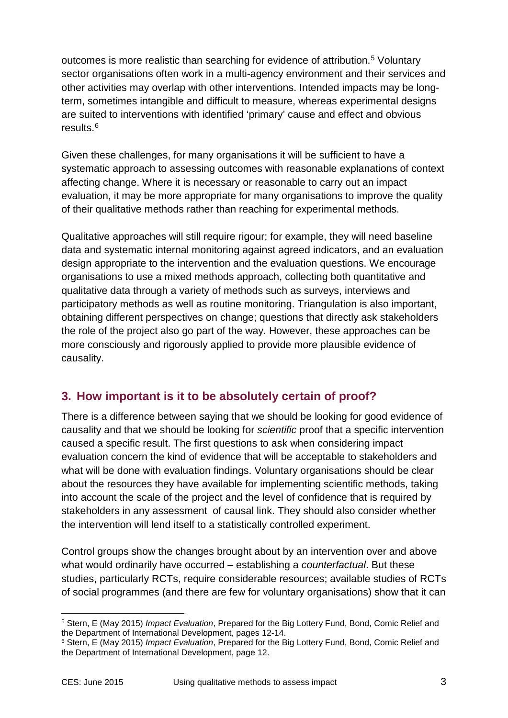outcomes is more realistic than searching for evidence of attribution.<sup>[5](#page-2-0)</sup> Voluntary sector organisations often work in a multi-agency environment and their services and other activities may overlap with other interventions. Intended impacts may be longterm, sometimes intangible and difficult to measure, whereas experimental designs are suited to interventions with identified 'primary' cause and effect and obvious results. [6](#page-2-1)

Given these challenges, for many organisations it will be sufficient to have a systematic approach to assessing outcomes with reasonable explanations of context affecting change. Where it is necessary or reasonable to carry out an impact evaluation, it may be more appropriate for many organisations to improve the quality of their qualitative methods rather than reaching for experimental methods.

Qualitative approaches will still require rigour; for example, they will need baseline data and systematic internal monitoring against agreed indicators, and an evaluation design appropriate to the intervention and the evaluation questions. We encourage organisations to use a mixed methods approach, collecting both quantitative and qualitative data through a variety of methods such as surveys, interviews and participatory methods as well as routine monitoring. Triangulation is also important, obtaining different perspectives on change; questions that directly ask stakeholders the role of the project also go part of the way. However, these approaches can be more consciously and rigorously applied to provide more plausible evidence of causality.

### **3. How important is it to be absolutely certain of proof?**

There is a difference between saying that we should be looking for good evidence of causality and that we should be looking for *scientific* proof that a specific intervention caused a specific result. The first questions to ask when considering impact evaluation concern the kind of evidence that will be acceptable to stakeholders and what will be done with evaluation findings. Voluntary organisations should be clear about the resources they have available for implementing scientific methods, taking into account the scale of the project and the level of confidence that is required by stakeholders in any assessment of causal link. They should also consider whether the intervention will lend itself to a statistically controlled experiment.

Control groups show the changes brought about by an intervention over and above what would ordinarily have occurred – establishing a *counterfactual*. But these studies, particularly RCTs, require considerable resources; available studies of RCTs of social programmes (and there are few for voluntary organisations) show that it can

<span id="page-2-0"></span><sup>5</sup> Stern, E (May 2015) *Impact Evaluation*, Prepared for the Big Lottery Fund, Bond, Comic Relief and the Department of International Development, pages 12-14. -

<span id="page-2-1"></span><sup>6</sup> Stern, E (May 2015) *Impact Evaluation*, Prepared for the Big Lottery Fund, Bond, Comic Relief and the Department of International Development, page 12.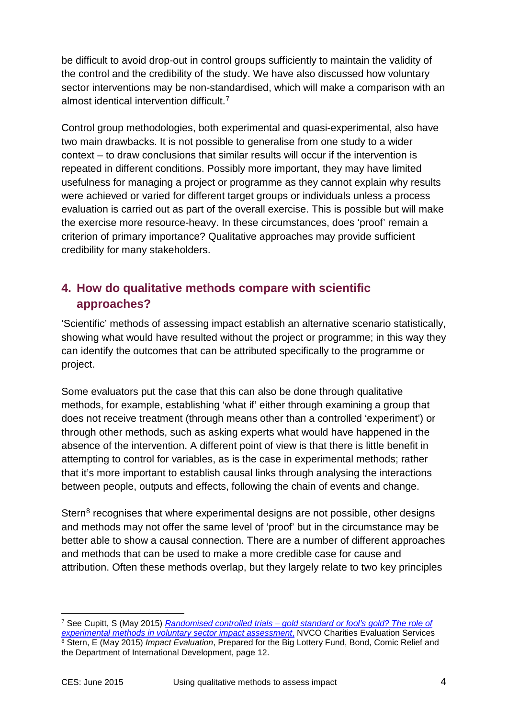be difficult to avoid drop-out in control groups sufficiently to maintain the validity of the control and the credibility of the study. We have also discussed how voluntary sector interventions may be non-standardised, which will make a comparison with an almost identical intervention difficult<sup>[7](#page-3-0)</sup>

Control group methodologies, both experimental and quasi-experimental, also have two main drawbacks. It is not possible to generalise from one study to a wider context – to draw conclusions that similar results will occur if the intervention is repeated in different conditions. Possibly more important, they may have limited usefulness for managing a project or programme as they cannot explain why results were achieved or varied for different target groups or individuals unless a process evaluation is carried out as part of the overall exercise. This is possible but will make the exercise more resource-heavy. In these circumstances, does 'proof' remain a criterion of primary importance? Qualitative approaches may provide sufficient credibility for many stakeholders.

# **4. How do qualitative methods compare with scientific approaches?**

'Scientific' methods of assessing impact establish an alternative scenario statistically, showing what would have resulted without the project or programme; in this way they can identify the outcomes that can be attributed specifically to the programme or project.

Some evaluators put the case that this can also be done through qualitative methods, for example, establishing 'what if' either through examining a group that does not receive treatment (through means other than a controlled 'experiment') or through other methods, such as asking experts what would have happened in the absence of the intervention. A different point of view is that there is little benefit in attempting to control for variables, as is the case in experimental methods; rather that it's more important to establish causal links through analysing the interactions between people, outputs and effects, following the chain of events and change.

Stern<sup>[8](#page-3-1)</sup> recognises that where experimental designs are not possible, other designs and methods may not offer the same level of 'proof' but in the circumstance may be better able to show a causal connection. There are a number of different approaches and methods that can be used to make a more credible case for cause and attribution. Often these methods overlap, but they largely relate to two key principles

-

<span id="page-3-1"></span><span id="page-3-0"></span><sup>7</sup> See Cupitt, S (May 2015) *Randomised controlled trials – [gold standard or fool's gold? The role of](http://www.ces-vol.org.uk/thinkpieces/thinkpiece-archive/Randomised+controlled+trials)  [experimental methods in voluntary sector impact assessment](http://www.ces-vol.org.uk/thinkpieces/thinkpiece-archive/Randomised+controlled+trials)*, NVCO Charities Evaluation Services <sup>8</sup> Stern, E (May 2015) *Impact Evaluation*, Prepared for the Big Lottery Fund, Bond, Comic Relief and the Department of International Development, page 12.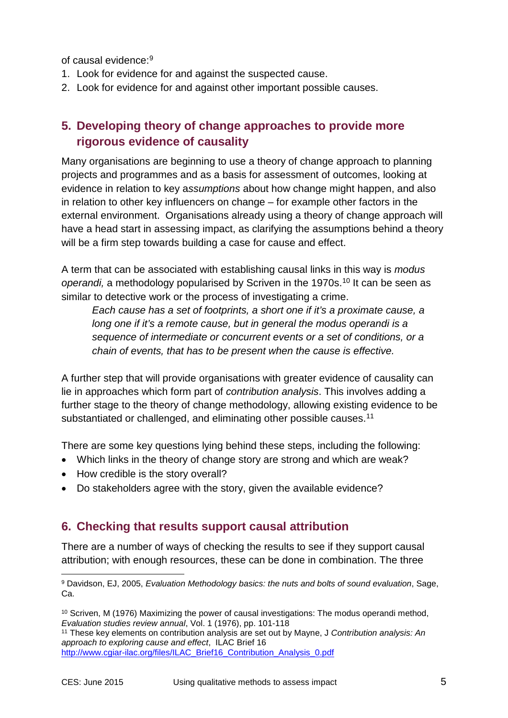of causal evidence:[9](#page-4-0)

- 1. Look for evidence for and against the suspected cause.
- 2. Look for evidence for and against other important possible causes.

# **5. Developing theory of change approaches to provide more rigorous evidence of causality**

Many organisations are beginning to use a theory of change approach to planning projects and programmes and as a basis for assessment of outcomes, looking at evidence in relation to key a*ssumptions* about how change might happen, and also in relation to other key influencers on change – for example other factors in the external environment. Organisations already using a theory of change approach will have a head start in assessing impact, as clarifying the assumptions behind a theory will be a firm step towards building a case for cause and effect.

A term that can be associated with establishing causal links in this way is *modus operandi*, a methodology popularised by Scriven in the 1970s.<sup>10</sup> It can be seen as similar to detective work or the process of investigating a crime.

*Each cause has a set of footprints, a short one if it's a proximate cause, a long one if it's a remote cause, but in general the modus operandi is a sequence of intermediate or concurrent events or a set of conditions, or a chain of events, that has to be present when the cause is effective.*

A further step that will provide organisations with greater evidence of causality can lie in approaches which form part of *contribution analysis*. This involves adding a further stage to the theory of change methodology, allowing existing evidence to be substantiated or challenged, and eliminating other possible causes.<sup>11</sup>

There are some key questions lying behind these steps, including the following:

- Which links in the theory of change story are strong and which are weak?
- How credible is the story overall?
- Do stakeholders agree with the story, given the available evidence?

#### **6. Checking that results support causal attribution**

There are a number of ways of checking the results to see if they support causal attribution; with enough resources, these can be done in combination. The three

<span id="page-4-0"></span><sup>9</sup> Davidson, EJ, 2005, *Evaluation Methodology basics: the nuts and bolts of sound evaluation*, Sage, Ca. -

<span id="page-4-1"></span><sup>&</sup>lt;sup>10</sup> Scriven, M (1976) Maximizing the power of causal investigations: The modus operandi method, *Evaluation studies review annual*, Vol. 1 (1976), pp. 101-118

<span id="page-4-2"></span><sup>11</sup> These key elements on contribution analysis are set out by Mayne, J *Contribution analysis: An approach to exploring cause and effect*, ILAC Brief 16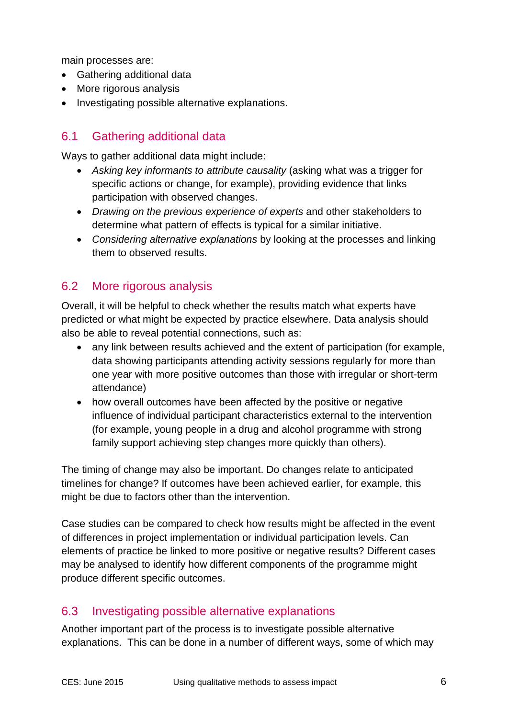main processes are:

- Gathering additional data
- More rigorous analysis
- Investigating possible alternative explanations.

### 6.1 Gathering additional data

Ways to gather additional data might include:

- *Asking key informants to attribute causality* (asking what was a trigger for specific actions or change, for example), providing evidence that links participation with observed changes.
- *Drawing on the previous experience of experts* and other stakeholders to determine what pattern of effects is typical for a similar initiative.
- *Considering alternative explanations* by looking at the processes and linking them to observed results.

#### 6.2 More rigorous analysis

Overall, it will be helpful to check whether the results match what experts have predicted or what might be expected by practice elsewhere. Data analysis should also be able to reveal potential connections, such as:

- any link between results achieved and the extent of participation (for example, data showing participants attending activity sessions regularly for more than one year with more positive outcomes than those with irregular or short-term attendance)
- how overall outcomes have been affected by the positive or negative influence of individual participant characteristics external to the intervention (for example, young people in a drug and alcohol programme with strong family support achieving step changes more quickly than others).

The timing of change may also be important. Do changes relate to anticipated timelines for change? If outcomes have been achieved earlier, for example, this might be due to factors other than the intervention.

Case studies can be compared to check how results might be affected in the event of differences in project implementation or individual participation levels. Can elements of practice be linked to more positive or negative results? Different cases may be analysed to identify how different components of the programme might produce different specific outcomes.

#### 6.3 Investigating possible alternative explanations

Another important part of the process is to investigate possible alternative explanations. This can be done in a number of different ways, some of which may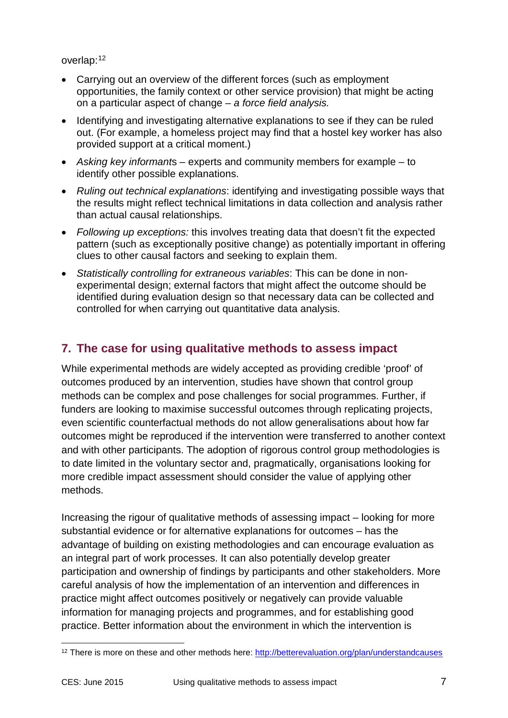#### overlap: [12](#page-6-0)

- Carrying out an overview of the different forces (such as employment opportunities, the family context or other service provision) that might be acting on a particular aspect of change *– a force field analysis.*
- Identifying and investigating alternative explanations to see if they can be ruled out. (For example, a homeless project may find that a hostel key worker has also provided support at a critical moment.)
- *Asking key informant*s experts and community members for example to identify other possible explanations.
- *Ruling out technical explanations*: identifying and investigating possible ways that the results might reflect technical limitations in data collection and analysis rather than actual causal relationships.
- *Following up exceptions:* this involves treating data that doesn't fit the expected pattern (such as exceptionally positive change) as potentially important in offering clues to other causal factors and seeking to explain them.
- *Statistically controlling for extraneous variables*: This can be done in nonexperimental design; external factors that might affect the outcome should be identified during evaluation design so that necessary data can be collected and controlled for when carrying out quantitative data analysis.

# **7. The case for using qualitative methods to assess impact**

While experimental methods are widely accepted as providing credible 'proof' of outcomes produced by an intervention, studies have shown that control group methods can be complex and pose challenges for social programmes. Further, if funders are looking to maximise successful outcomes through replicating projects, even scientific counterfactual methods do not allow generalisations about how far outcomes might be reproduced if the intervention were transferred to another context and with other participants. The adoption of rigorous control group methodologies is to date limited in the voluntary sector and, pragmatically, organisations looking for more credible impact assessment should consider the value of applying other methods.

Increasing the rigour of qualitative methods of assessing impact – looking for more substantial evidence or for alternative explanations for outcomes – has the advantage of building on existing methodologies and can encourage evaluation as an integral part of work processes. It can also potentially develop greater participation and ownership of findings by participants and other stakeholders. More careful analysis of how the implementation of an intervention and differences in practice might affect outcomes positively or negatively can provide valuable information for managing projects and programmes, and for establishing good practice. Better information about the environment in which the intervention is

<span id="page-6-0"></span><sup>&</sup>lt;sup>12</sup> There is more on these and other methods here:<http://betterevaluation.org/plan/understandcauses> -